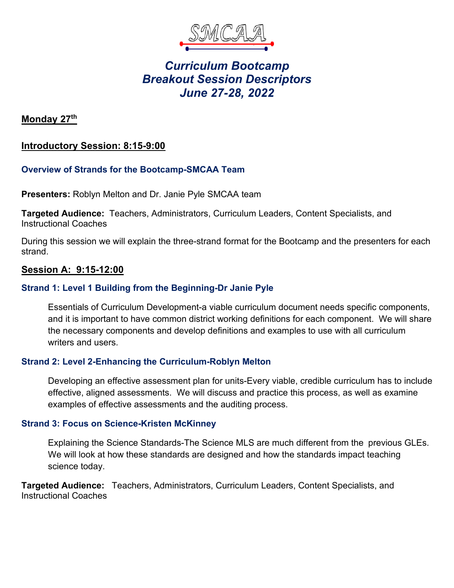

# *Curriculum Bootcamp Breakout Session Descriptors June 27-28, 2022*

**Monday 27th** 

# **Introductory Session: 8:15-9:00**

## **Overview of Strands for the Bootcamp-SMCAA Team**

**Presenters:** Roblyn Melton and Dr. Janie Pyle SMCAA team

**Targeted Audience:** Teachers, Administrators, Curriculum Leaders, Content Specialists, and Instructional Coaches

During this session we will explain the three-strand format for the Bootcamp and the presenters for each strand.

## **Session A: 9:15-12:00**

## **Strand 1: Level 1 Building from the Beginning-Dr Janie Pyle**

Essentials of Curriculum Development-a viable curriculum document needs specific components, and it is important to have common district working definitions for each component. We will share the necessary components and develop definitions and examples to use with all curriculum writers and users.

## **Strand 2: Level 2-Enhancing the Curriculum-Roblyn Melton**

Developing an effective assessment plan for units-Every viable, credible curriculum has to include effective, aligned assessments. We will discuss and practice this process, as well as examine examples of effective assessments and the auditing process.

#### **Strand 3: Focus on Science-Kristen McKinney**

Explaining the Science Standards-The Science MLS are much different from the previous GLEs. We will look at how these standards are designed and how the standards impact teaching science today.

**Targeted Audience:** Teachers, Administrators, Curriculum Leaders, Content Specialists, and Instructional Coaches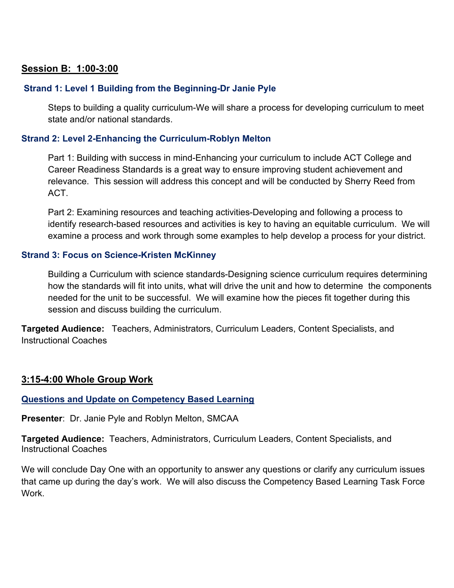## **Session B: 1:00-3:00**

## **Strand 1: Level 1 Building from the Beginning-Dr Janie Pyle**

Steps to building a quality curriculum-We will share a process for developing curriculum to meet state and/or national standards.

#### **Strand 2: Level 2-Enhancing the Curriculum-Roblyn Melton**

Part 1: Building with success in mind-Enhancing your curriculum to include ACT College and Career Readiness Standards is a great way to ensure improving student achievement and relevance. This session will address this concept and will be conducted by Sherry Reed from ACT.

Part 2: Examining resources and teaching activities-Developing and following a process to identify research-based resources and activities is key to having an equitable curriculum. We will examine a process and work through some examples to help develop a process for your district.

#### **Strand 3: Focus on Science-Kristen McKinney**

Building a Curriculum with science standards-Designing science curriculum requires determining how the standards will fit into units, what will drive the unit and how to determine the components needed for the unit to be successful. We will examine how the pieces fit together during this session and discuss building the curriculum.

**Targeted Audience:** Teachers, Administrators, Curriculum Leaders, Content Specialists, and Instructional Coaches

## **3:15-4:00 Whole Group Work**

#### **Questions and Update on Competency Based Learning**

**Presenter**: Dr. Janie Pyle and Roblyn Melton, SMCAA

**Targeted Audience:** Teachers, Administrators, Curriculum Leaders, Content Specialists, and Instructional Coaches

We will conclude Day One with an opportunity to answer any questions or clarify any curriculum issues that came up during the day's work. We will also discuss the Competency Based Learning Task Force **Work**